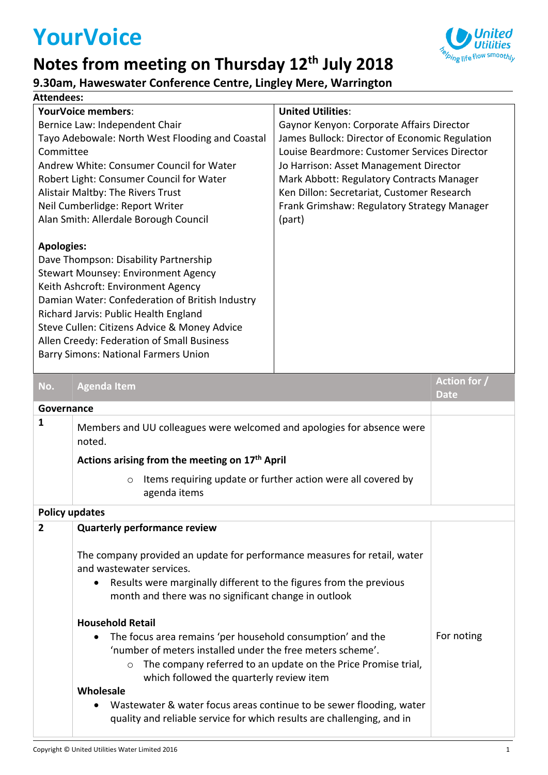## **YourVoice**



## **9.30am, Haweswater Conference Centre, Lingley Mere, Warrington**

| Attendees:                                                                                                                                                                                                                                                                                                                                                                              |                                                                                         |                                             |                             |  |  |  |
|-----------------------------------------------------------------------------------------------------------------------------------------------------------------------------------------------------------------------------------------------------------------------------------------------------------------------------------------------------------------------------------------|-----------------------------------------------------------------------------------------|---------------------------------------------|-----------------------------|--|--|--|
|                                                                                                                                                                                                                                                                                                                                                                                         | <b>YourVoice members:</b><br><b>United Utilities:</b>                                   |                                             |                             |  |  |  |
| Bernice Law: Independent Chair<br>Gaynor Kenyon: Corporate Affairs Director                                                                                                                                                                                                                                                                                                             |                                                                                         |                                             |                             |  |  |  |
| Tayo Adebowale: North West Flooding and Coastal<br>James Bullock: Director of Economic Regulation                                                                                                                                                                                                                                                                                       |                                                                                         |                                             |                             |  |  |  |
| Committee<br>Louise Beardmore: Customer Services Director                                                                                                                                                                                                                                                                                                                               |                                                                                         |                                             |                             |  |  |  |
|                                                                                                                                                                                                                                                                                                                                                                                         | Andrew White: Consumer Council for Water<br>Jo Harrison: Asset Management Director      |                                             |                             |  |  |  |
|                                                                                                                                                                                                                                                                                                                                                                                         | Robert Light: Consumer Council for Water                                                | Mark Abbott: Regulatory Contracts Manager   |                             |  |  |  |
| Alistair Maltby: The Rivers Trust                                                                                                                                                                                                                                                                                                                                                       |                                                                                         | Ken Dillon: Secretariat, Customer Research  |                             |  |  |  |
|                                                                                                                                                                                                                                                                                                                                                                                         | Neil Cumberlidge: Report Writer                                                         | Frank Grimshaw: Regulatory Strategy Manager |                             |  |  |  |
|                                                                                                                                                                                                                                                                                                                                                                                         | Alan Smith: Allerdale Borough Council                                                   | (part)                                      |                             |  |  |  |
| <b>Apologies:</b><br>Dave Thompson: Disability Partnership<br><b>Stewart Mounsey: Environment Agency</b><br>Keith Ashcroft: Environment Agency<br>Damian Water: Confederation of British Industry<br>Richard Jarvis: Public Health England<br>Steve Cullen: Citizens Advice & Money Advice<br>Allen Creedy: Federation of Small Business<br><b>Barry Simons: National Farmers Union</b> |                                                                                         |                                             |                             |  |  |  |
| No.                                                                                                                                                                                                                                                                                                                                                                                     | <b>Agenda Item</b>                                                                      |                                             | Action for /<br><b>Date</b> |  |  |  |
|                                                                                                                                                                                                                                                                                                                                                                                         | Governance                                                                              |                                             |                             |  |  |  |
| $\mathbf{1}$                                                                                                                                                                                                                                                                                                                                                                            | Members and UU colleagues were welcomed and apologies for absence were<br>noted.        |                                             |                             |  |  |  |
|                                                                                                                                                                                                                                                                                                                                                                                         | Actions arising from the meeting on 17th April                                          |                                             |                             |  |  |  |
|                                                                                                                                                                                                                                                                                                                                                                                         | Items requiring update or further action were all covered by<br>$\circ$<br>agenda items |                                             |                             |  |  |  |
| <b>Policy updates</b>                                                                                                                                                                                                                                                                                                                                                                   |                                                                                         |                                             |                             |  |  |  |
|                                                                                                                                                                                                                                                                                                                                                                                         | $\mathbf{C}$ and a state of $\mathbf{C}$                                                |                                             |                             |  |  |  |

| <b>Quarterly performance review</b><br>$\overline{2}$<br>The company provided an update for performance measures for retail, water<br>and wastewater services.<br>Results were marginally different to the figures from the previous<br>$\bullet$<br>month and there was no significant change in outlook<br><b>Household Retail</b><br>The focus area remains 'per household consumption' and the<br>$\bullet$<br>'number of meters installed under the free meters scheme'.<br>The company referred to an update on the Price Promise trial, |            |
|------------------------------------------------------------------------------------------------------------------------------------------------------------------------------------------------------------------------------------------------------------------------------------------------------------------------------------------------------------------------------------------------------------------------------------------------------------------------------------------------------------------------------------------------|------------|
|                                                                                                                                                                                                                                                                                                                                                                                                                                                                                                                                                |            |
|                                                                                                                                                                                                                                                                                                                                                                                                                                                                                                                                                |            |
| $\circ$<br>which followed the quarterly review item<br>Wholesale<br>Wastewater & water focus areas continue to be sewer flooding, water<br>$\bullet$<br>quality and reliable service for which results are challenging, and in                                                                                                                                                                                                                                                                                                                 | For noting |

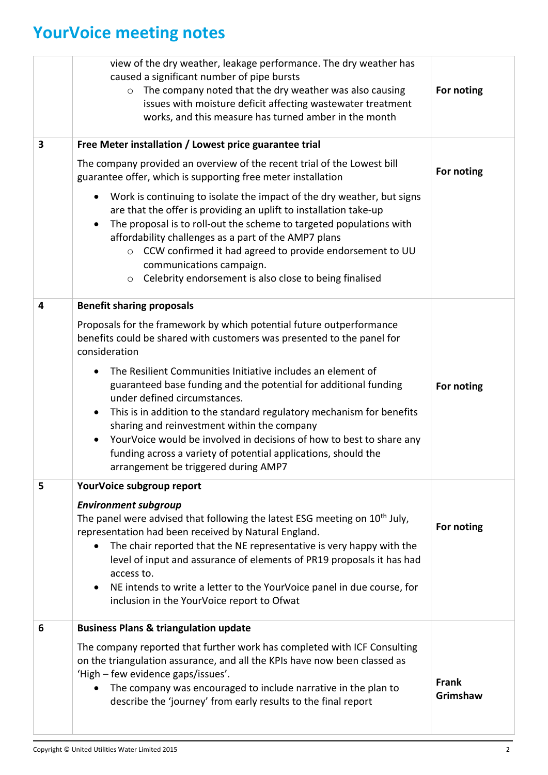## **YourVoice meeting notes**

|   | view of the dry weather, leakage performance. The dry weather has<br>caused a significant number of pipe bursts<br>The company noted that the dry weather was also causing<br>$\circ$<br>issues with moisture deficit affecting wastewater treatment<br>works, and this measure has turned amber in the month                                                                                                                                                                                       | For noting               |
|---|-----------------------------------------------------------------------------------------------------------------------------------------------------------------------------------------------------------------------------------------------------------------------------------------------------------------------------------------------------------------------------------------------------------------------------------------------------------------------------------------------------|--------------------------|
| 3 | Free Meter installation / Lowest price guarantee trial                                                                                                                                                                                                                                                                                                                                                                                                                                              |                          |
|   | The company provided an overview of the recent trial of the Lowest bill<br>guarantee offer, which is supporting free meter installation                                                                                                                                                                                                                                                                                                                                                             | For noting               |
|   | Work is continuing to isolate the impact of the dry weather, but signs<br>$\bullet$<br>are that the offer is providing an uplift to installation take-up<br>The proposal is to roll-out the scheme to targeted populations with<br>$\bullet$<br>affordability challenges as a part of the AMP7 plans<br>CCW confirmed it had agreed to provide endorsement to UU<br>$\circ$<br>communications campaign.<br>Celebrity endorsement is also close to being finalised<br>$\circ$                        |                          |
| 4 | <b>Benefit sharing proposals</b>                                                                                                                                                                                                                                                                                                                                                                                                                                                                    |                          |
|   | Proposals for the framework by which potential future outperformance<br>benefits could be shared with customers was presented to the panel for<br>consideration                                                                                                                                                                                                                                                                                                                                     |                          |
|   | The Resilient Communities Initiative includes an element of<br>guaranteed base funding and the potential for additional funding<br>under defined circumstances.<br>This is in addition to the standard regulatory mechanism for benefits<br>$\bullet$<br>sharing and reinvestment within the company<br>YourVoice would be involved in decisions of how to best to share any<br>$\bullet$<br>funding across a variety of potential applications, should the<br>arrangement be triggered during AMP7 | For noting               |
| 5 | YourVoice subgroup report                                                                                                                                                                                                                                                                                                                                                                                                                                                                           |                          |
|   | <b>Environment subgroup</b><br>The panel were advised that following the latest ESG meeting on 10 <sup>th</sup> July,<br>representation had been received by Natural England.<br>The chair reported that the NE representative is very happy with the<br>level of input and assurance of elements of PR19 proposals it has had<br>access to.<br>NE intends to write a letter to the YourVoice panel in due course, for<br>$\bullet$<br>inclusion in the YourVoice report to Ofwat                   | For noting               |
| 6 | <b>Business Plans &amp; triangulation update</b>                                                                                                                                                                                                                                                                                                                                                                                                                                                    |                          |
|   | The company reported that further work has completed with ICF Consulting<br>on the triangulation assurance, and all the KPIs have now been classed as<br>'High - few evidence gaps/issues'.<br>The company was encouraged to include narrative in the plan to<br>$\bullet$<br>describe the 'journey' from early results to the final report                                                                                                                                                         | <b>Frank</b><br>Grimshaw |